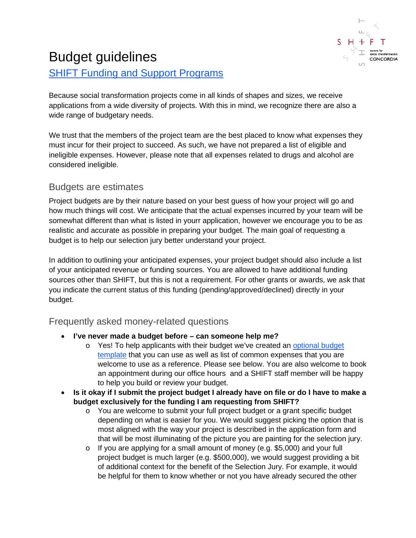

## Budget guidelines [SHIFT Funding and Support Programs](http://www.concordia.ca/about/shift/funding.html)

Because social transformation projects come in all kinds of shapes and sizes, we receive applications from a wide diversity of projects. With this in mind, we recognize there are also a wide range of budgetary needs.

We trust that the members of the project team are the best placed to know what expenses they must incur for their project to succeed. As such, we have not prepared a list of eligible and ineligible expenses. However, please note that all expenses related to drugs and alcohol are considered ineligible.

## Budgets are estimates

Project budgets are by their nature based on your best guess of how your project will go and how much things will cost. We anticipate that the actual expenses incurred by your team will be somewhat different than what is listed in yourr application, however we encourage you to be as realistic and accurate as possible in preparing your budget. The main goal of requesting a budget is to help our selection jury better understand your project.

In addition to outlining your anticipated expenses, your project budget should also include a list of your anticipated revenue or funding sources. You are allowed to have additional funding sources other than SHIFT, but this is not a requirement. For other grants or awards, we ask that you indicate the current status of this funding (pending/approved/declined) directly in your budget.

## Frequently asked money-related questions

- **I've never made a budget before – can someone help me?**
	- o Yes! To help applicants with their budget we've created an [optional budget](https://docs.google.com/spreadsheets/d/18JqvQFBxrqkD7a2FBgS4GYnmKVc-YBZPtmNfrKyPdIg/edit?usp=sharing)  [template](https://docs.google.com/spreadsheets/d/18JqvQFBxrqkD7a2FBgS4GYnmKVc-YBZPtmNfrKyPdIg/edit?usp=sharing) that you can use as well as list of common expenses that you are welcome to use as a reference. Please see below. You are also welcome to book an appointment during our office hours and a SHIFT staff member will be happy to help you build or review your budget.
- **Is it okay if I submit the project budget I already have on file or do I have to make a budget exclusively for the funding I am requesting from SHIFT?**
	- o You are welcome to submit your full project budget or a grant specific budget depending on what is easier for you. We would suggest picking the option that is most aligned with the way your project is described in the application form and that will be most illuminating of the picture you are painting for the selection jury.
	- o If you are applying for a small amount of money (e.g. \$5,000) and your full project budget is much larger (e.g. \$500,000), we would suggest providing a bit of additional context for the benefit of the Selection Jury. For example, it would be helpful for them to know whether or not you have already secured the other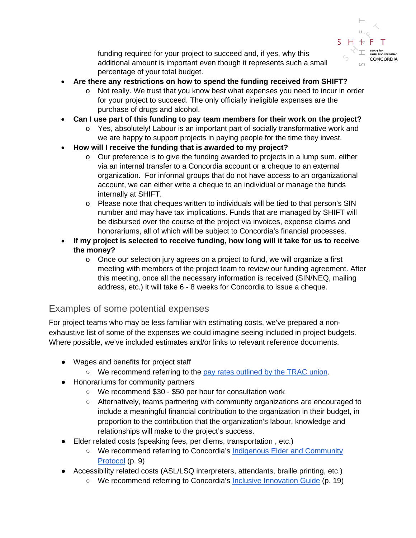

funding required for your project to succeed and, if yes, why this additional amount is important even though it represents such a small percentage of your total budget.

- **Are there any restrictions on how to spend the funding received from SHIFT?** 
	- o Not really. We trust that you know best what expenses you need to incur in order for your project to succeed. The only officially ineligible expenses are the purchase of drugs and alcohol.
- **Can I use part of this funding to pay team members for their work on the project?**
	- $\circ$  Yes, absolutely! Labour is an important part of socially transformative work and we are happy to support projects in paying people for the time they invest.
- **How will I receive the funding that is awarded to my project?**
	- o Our preference is to give the funding awarded to projects in a lump sum, either via an internal transfer to a Concordia account or a cheque to an external organization. For informal groups that do not have access to an organizational account, we can either write a cheque to an individual or manage the funds internally at SHIFT.
	- o Please note that cheques written to individuals will be tied to that person's SIN number and may have tax implications. Funds that are managed by SHIFT will be disbursed over the course of the project via invoices, expense claims and honorariums, all of which will be subject to Concordia's financial processes.
- **If my project is selected to receive funding, how long will it take for us to receive the money?**
	- $\circ$  Once our selection jury agrees on a project to fund, we will organize a first meeting with members of the project team to review our funding agreement. After this meeting, once all the necessary information is received (SIN/NEQ, mailing address, etc.) it will take 6 - 8 weeks for Concordia to issue a cheque.

## Examples of some potential expenses

For project teams who may be less familiar with estimating costs, we've prepared a nonexhaustive list of some of the expenses we could imagine seeing included in project budgets. Where possible, we've included estimates and/or links to relevant reference documents.

- Wages and benefits for project staff
	- We recommend referring to the [pay rates outlined by the TRAC union.](https://trac-union.ca/pay-rates/)
- Honorariums for community partners
	- We recommend \$30 \$50 per hour for consultation work
	- Alternatively, teams partnering with community organizations are encouraged to include a meaningful financial contribution to the organization in their budget, in proportion to the contribution that the organization's labour, knowledge and relationships will make to the project's success.
- Elder related costs (speaking fees, per diems, transportation , etc.)
	- We recommend referring to Concordia's [Indigenous Elder and Community](https://www.concordia.ca/content/dam/concordia/offices/oce/IDLG/Indigenous-Elder-and-Community-Protocols.pdf)  [Protocol](https://www.concordia.ca/content/dam/concordia/offices/oce/IDLG/Indigenous-Elder-and-Community-Protocols.pdf) (p. 9)
- Accessibility related costs (ASL/LSQ interpreters, attendants, braille printing, etc.)
	- We recommend referring to Concordia's **Inclusive Innovation Guide** (p. 19)